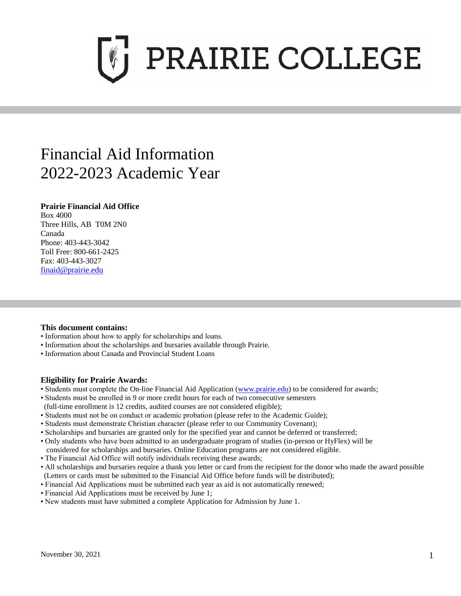

# Financial Aid Information 2022-2023 Academic Year

## **Prairie Financial Aid Office**

Box 4000 Three Hills, AB T0M 2N0 Canada Phone: 403-443-3042 Toll Free: 800-661-2425 Fax: 403-443-3027 [finaid@prairie.edu](mailto:finaid@prairie.edu)

## **This document contains:**

- Information about how to apply for scholarships and loans.
- Information about the scholarships and bursaries available through Prairie.
- Information about Canada and Provincial Student Loans

## **Eligibility for Prairie Awards:**

- Students must complete the On-line Financial Aid Application [\(www.prairie.edu\)](http://www.prairie.edu/) to be considered for awards;
- Students must be enrolled in 9 or more credit hours for each of two consecutive semesters
- (full-time enrollment is 12 credits, audited courses are not considered eligible);
- Students must not be on conduct or academic probation (please refer to the Academic Guide);
- Students must demonstrate Christian character (please refer to our Community Covenant);
- Scholarships and bursaries are granted only for the specified year and cannot be deferred or transferred;
- Only students who have been admitted to an undergraduate program of studies (in-person or HyFlex) will be
- considered for scholarships and bursaries. Online Education programs are not considered eligible.
- The Financial Aid Office will notify individuals receiving these awards;
- All scholarships and bursaries require a thank you letter or card from the recipient for the donor who made the award possible (Letters or cards must be submitted to the Financial Aid Office before funds will be distributed);
- Financial Aid Applications must be submitted each year as aid is not automatically renewed;
- Financial Aid Applications must be received by June 1;
- New students must have submitted a complete Application for Admission by June 1.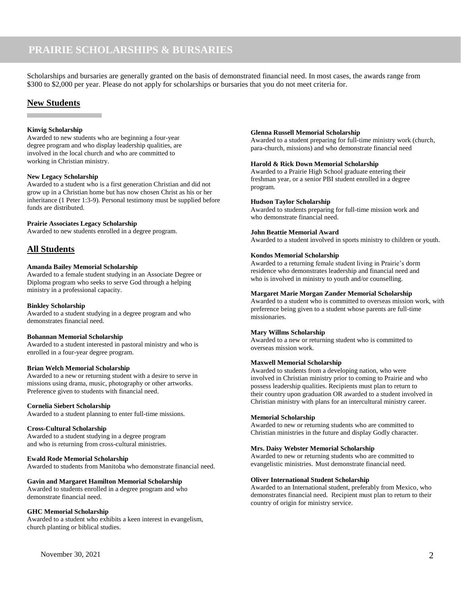## **PRAIRIE SCHOLARSHIPS & BURSARIES**

Scholarships and bursaries are generally granted on the basis of demonstrated financial need. In most cases, the awards range from \$300 to \$2,000 per year. Please do not apply for scholarships or bursaries that you do not meet criteria for.

## **New Students**

#### **Kinvig Scholarship**

Awarded to new students who are beginning a four-year degree program and who display leadership qualities, are involved in the local church and who are committed to working in Christian ministry.

#### **New Legacy Scholarship**

Awarded to a student who is a first generation Christian and did not grow up in a Christian home but has now chosen Christ as his or her inheritance (1 Peter 1:3-9). Personal testimony must be supplied before funds are distributed.

#### **Prairie Associates Legacy Scholarship**

Awarded to new students enrolled in a degree program.

### **All Students**

#### **Amanda Bailey Memorial Scholarship**

Awarded to a female student studying in an Associate Degree or Diploma program who seeks to serve God through a helping ministry in a professional capacity.

#### **Binkley Scholarship**

Awarded to a student studying in a degree program and who demonstrates financial need.

#### **Bohannan Memorial Scholarship**

Awarded to a student interested in pastoral ministry and who is enrolled in a four-year degree program.

#### **Brian Welch Memorial Scholarship**

Awarded to a new or returning student with a desire to serve in missions using drama, music, photography or other artworks. Preference given to students with financial need.

#### **Cornelia Siebert Scholarship**

Awarded to a student planning to enter full-time missions.

#### **Cross-Cultural Scholarship**

Awarded to a student studying in a degree program and who is returning from cross-cultural ministries.

#### **Ewald Rode Memorial Scholarship**

Awarded to students from Manitoba who demonstrate financial need.

#### **Gavin and Margaret Hamilton Memorial Scholarship**

Awarded to students enrolled in a degree program and who demonstrate financial need.

#### **GHC Memorial Scholarship**

Awarded to a student who exhibits a keen interest in evangelism, church planting or biblical studies.

#### **Glenna Russell Memorial Scholarship**

Awarded to a student preparing for full-time ministry work (church, para-church, missions) and who demonstrate financial need

#### **Harold & Rick Down Memorial Scholarship**

Awarded to a Prairie High School graduate entering their freshman year, or a senior PBI student enrolled in a degree program.

#### **Hudson Taylor Scholarship**

Awarded to students preparing for full-time mission work and who demonstrate financial need.

#### **John Beattie Memorial Award**

Awarded to a student involved in sports ministry to children or youth.

#### **Kondos Memorial Scholarship**

Awarded to a returning female student living in Prairie's dorm residence who demonstrates leadership and financial need and who is involved in ministry to youth and/or counselling.

#### **Margaret Marie Morgan Zander Memorial Scholarship**

Awarded to a student who is committed to overseas mission work, with preference being given to a student whose parents are full-time missionaries.

#### **Mary Willms Scholarship**

Awarded to a new or returning student who is committed to overseas mission work.

#### **Maxwell Memorial Scholarship**

Awarded to students from a developing nation, who were involved in Christian ministry prior to coming to Prairie and who possess leadership qualities. Recipients must plan to return to their country upon graduation OR awarded to a student involved in Christian ministry with plans for an intercultural ministry career.

#### **Memorial Scholarship**

Awarded to new or returning students who are committed to Christian ministries in the future and display Godly character.

#### **Mrs. Daisy Webster Memorial Scholarship**

Awarded to new or returning students who are committed to evangelistic ministries. Must demonstrate financial need.

#### **Oliver International Student Scholarship**

Awarded to an International student, preferably from Mexico, who demonstrates financial need. Recipient must plan to return to their country of origin for ministry service.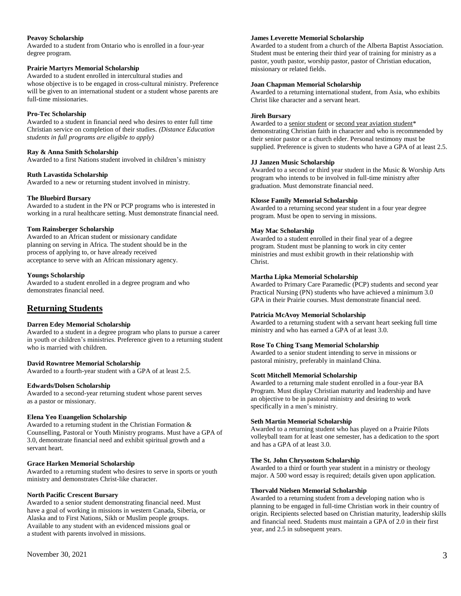#### **Peavoy Scholarship**

Awarded to a student from Ontario who is enrolled in a four-year degree program.

#### **Prairie Martyrs Memorial Scholarship**

Awarded to a student enrolled in intercultural studies and whose objective is to be engaged in cross-cultural ministry. Preference will be given to an international student or a student whose parents are full-time missionaries.

#### **Pro-Tec Scholarship**

Awarded to a student in financial need who desires to enter full time Christian service on completion of their studies. *(Distance Education students in full programs are eligible to apply)*

#### **Ray & Anna Smith Scholarship**

Awarded to a first Nations student involved in children's ministry

#### **Ruth Lavastida Scholarship**

Awarded to a new or returning student involved in ministry.

#### **The Bluebird Bursary**

Awarded to a student in the PN or PCP programs who is interested in working in a rural healthcare setting. Must demonstrate financial need.

#### **Tom Rainsberger Scholarship**

Awarded to an African student or missionary candidate planning on serving in Africa. The student should be in the process of applying to, or have already received acceptance to serve with an African missionary agency.

#### **Youngs Scholarship**

Awarded to a student enrolled in a degree program and who demonstrates financial need.

## **Returning Students**

#### **Darren Edey Memorial Scholarship**

Awarded to a student in a degree program who plans to pursue a career in youth or children's ministries. Preference given to a returning student who is married with children.

#### **David Rowntree Memorial Scholarship**

Awarded to a fourth-year student with a GPA of at least 2.5.

#### **Edwards/Dolsen Scholarship**

Awarded to a second-year returning student whose parent serves as a pastor or missionary.

#### **Elena Yeo Euangelion Scholarship**

Awarded to a returning student in the Christian Formation & Counselling, Pastoral or Youth Ministry programs. Must have a GPA of 3.0, demonstrate financial need and exhibit spiritual growth and a servant heart.

#### **Grace Harken Memorial Scholarship**

Awarded to a returning student who desires to serve in sports or youth ministry and demonstrates Christ-like character.

#### **North Pacific Crescent Bursary**

Awarded to a senior student demonstrating financial need. Must have a goal of working in missions in western Canada, Siberia, or Alaska and to First Nations, Sikh or Muslim people groups. Available to any student with an evidenced missions goal or a student with parents involved in missions.

#### **James Leverette Memorial Scholarship**

Awarded to a student from a church of the Alberta Baptist Association. Student must be entering their third year of training for ministry as a pastor, youth pastor, worship pastor, pastor of Christian education, missionary or related fields.

#### **Joan Chapman Memorial Scholarship**

Awarded to a returning international student, from Asia, who exhibits Christ like character and a servant heart.

#### **Jireh Bursary**

Awarded to a senior student or second year aviation student\* demonstrating Christian faith in character and who is recommended by their senior pastor or a church elder. Personal testimony must be supplied. Preference is given to students who have a GPA of at least 2.5.

#### **JJ Janzen Music Scholarship**

Awarded to a second or third year student in the Music & Worship Arts program who intends to be involved in full-time ministry after graduation. Must demonstrate financial need.

#### **Klosse Family Memorial Scholarship**

Awarded to a returning second year student in a four year degree program. Must be open to serving in missions.

#### **May Mac Scholarship**

Awarded to a student enrolled in their final year of a degree program. Student must be planning to work in city center ministries and must exhibit growth in their relationship with Christ.

#### **Martha Lipka Memorial Scholarship**

Awarded to Primary Care Paramedic (PCP) students and second year Practical Nursing (PN) students who have achieved a minimum 3.0 GPA in their Prairie courses. Must demonstrate financial need.

#### **Patricia McAvoy Memorial Scholarship**

Awarded to a returning student with a servant heart seeking full time ministry and who has earned a GPA of at least 3.0.

#### **Rose To Ching Tsang Memorial Scholarship**

Awarded to a senior student intending to serve in missions or pastoral ministry, preferably in mainland China.

#### **Scott Mitchell Memorial Scholarship**

Awarded to a returning male student enrolled in a four-year BA Program. Must display Christian maturity and leadership and have an objective to be in pastoral ministry and desiring to work specifically in a men's ministry.

#### **Seth Martin Memorial Scholarship**

Awarded to a returning student who has played on a Prairie Pilots volleyball team for at least one semester, has a dedication to the sport and has a GPA of at least 3.0.

#### **The St. John Chrysostom Scholarship**

Awarded to a third or fourth year student in a ministry or theology major. A 500 word essay is required; details given upon application.

#### **Thorvald Nielsen Memorial Scholarship**

Awarded to a returning student from a developing nation who is planning to be engaged in full-time Christian work in their country of origin. Recipients selected based on Christian maturity, leadership skills and financial need. Students must maintain a GPA of 2.0 in their first year, and 2.5 in subsequent years.